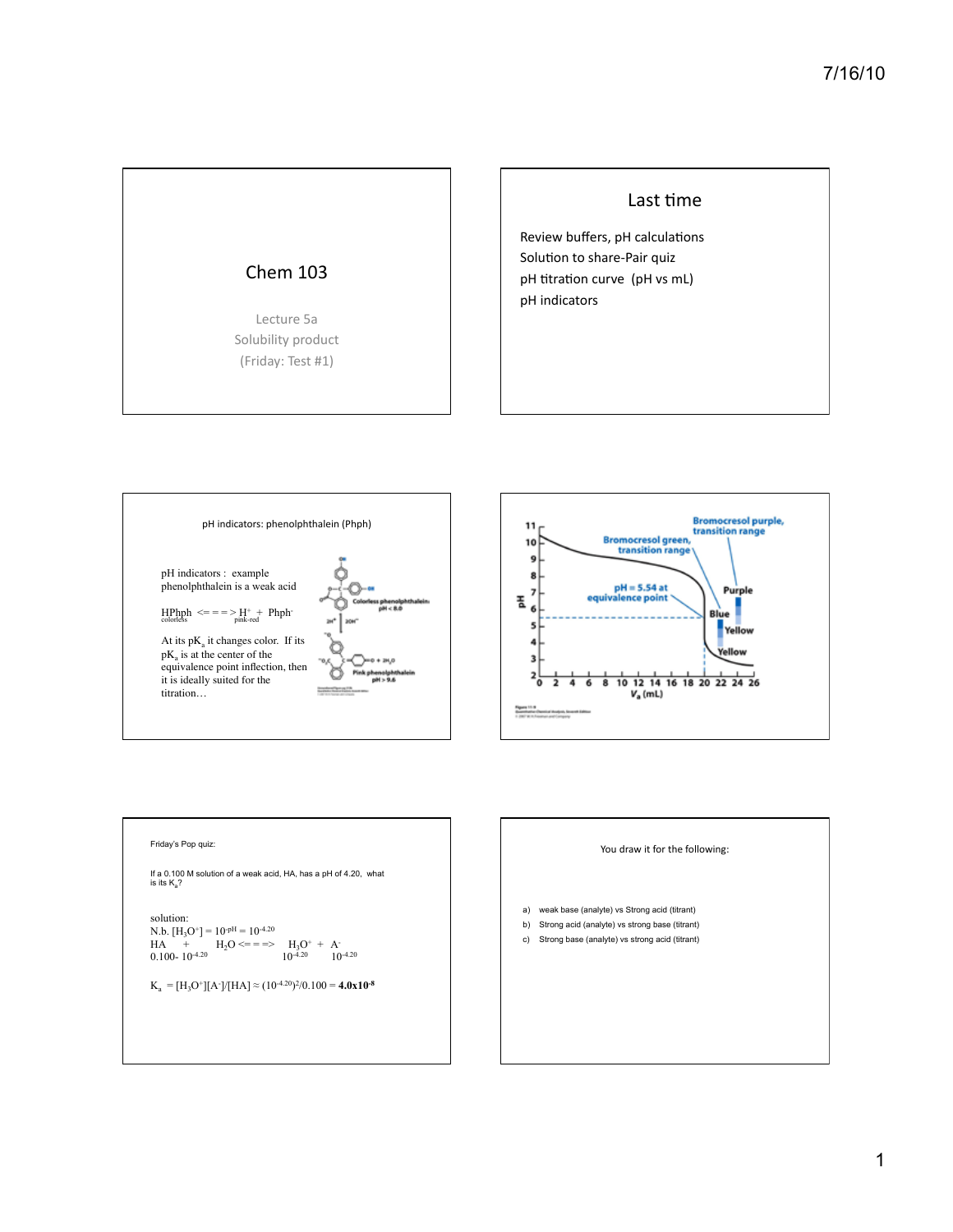